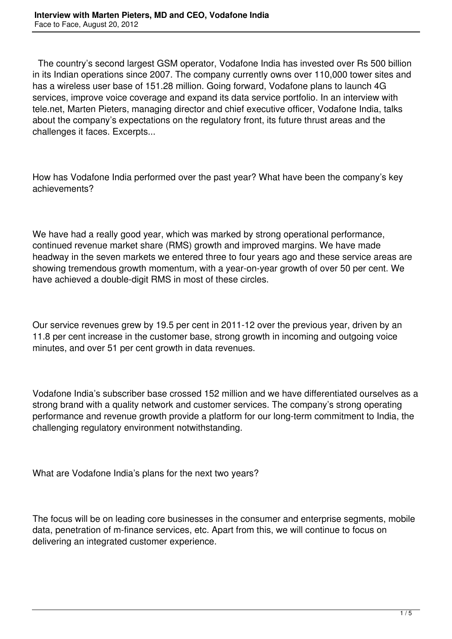The country's second largest GSM operator, Vodafone India has invested over Rs 500 billion in its Indian operations since 2007. The company currently owns over 110,000 tower sites and has a wireless user base of 151.28 million. Going forward, Vodafone plans to launch 4G services, improve voice coverage and expand its data service portfolio. In an interview with tele.net, Marten Pieters, managing director and chief executive officer, Vodafone India, talks about the company's expectations on the regulatory front, its future thrust areas and the challenges it faces. Excerpts...

How has Vodafone India performed over the past year? What have been the company's key achievements?

We have had a really good year, which was marked by strong operational performance, continued revenue market share (RMS) growth and improved margins. We have made headway in the seven markets we entered three to four years ago and these service areas are showing tremendous growth momentum, with a year-on-year growth of over 50 per cent. We have achieved a double-digit RMS in most of these circles.

Our service revenues grew by 19.5 per cent in 2011-12 over the previous year, driven by an 11.8 per cent increase in the customer base, strong growth in incoming and outgoing voice minutes, and over 51 per cent growth in data revenues.

Vodafone India's subscriber base crossed 152 million and we have differentiated ourselves as a strong brand with a quality network and customer services. The company's strong operating performance and revenue growth provide a platform for our long-term commitment to India, the challenging regulatory environment notwithstanding.

What are Vodafone India's plans for the next two years?

The focus will be on leading core businesses in the consumer and enterprise segments, mobile data, penetration of m-finance services, etc. Apart from this, we will continue to focus on delivering an integrated customer experience.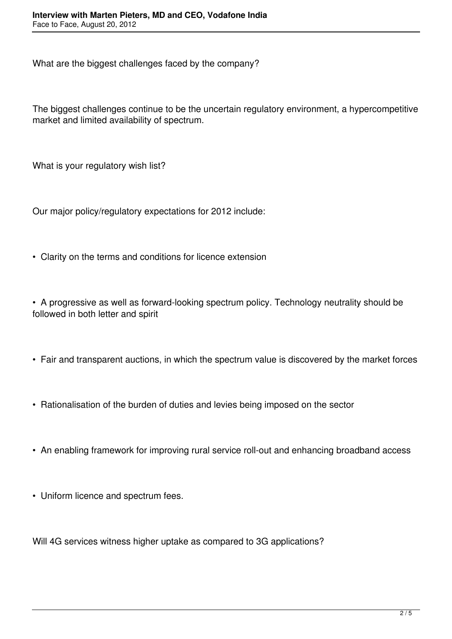What are the biggest challenges faced by the company?

The biggest challenges continue to be the uncertain regulatory environment, a hypercompetitive market and limited availability of spectrum.

What is your regulatory wish list?

Our major policy/regulatory expectations for 2012 include:

• Clarity on the terms and conditions for licence extension

• A progressive as well as forward-looking spectrum policy. Technology neutrality should be followed in both letter and spirit

- Fair and transparent auctions, in which the spectrum value is discovered by the market forces
- Rationalisation of the burden of duties and levies being imposed on the sector
- An enabling framework for improving rural service roll-out and enhancing broadband access
- Uniform licence and spectrum fees.

Will 4G services witness higher uptake as compared to 3G applications?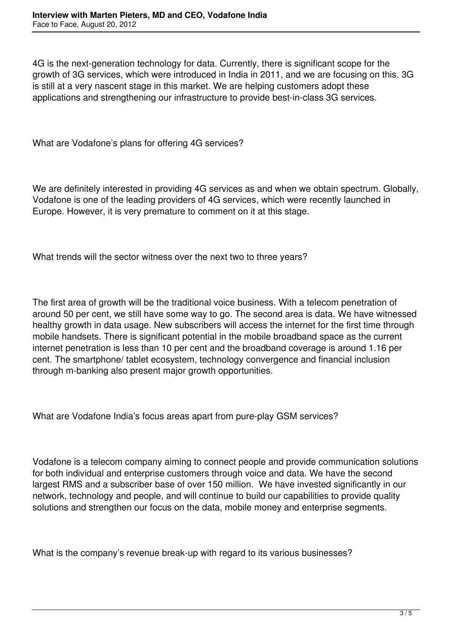4G is the next-generation technology for data. Currently, there is significant scope for the growth of 3G services, which were introduced in India in 2011, and we are focusing on this. 3G is still at a very nascent stage in this market. We are helping customers adopt these applications and strengthening our infrastructure to provide best-in-class 3G services.

What are Vodafone's plans for offering 4G services?

We are definitely interested in providing 4G services as and when we obtain spectrum. Globally, Vodafone is one of the leading providers of 4G services, which were recently launched in Europe. However, it is very premature to comment on it at this stage.

What trends will the sector witness over the next two to three years?

The first area of growth will be the traditional voice business. With a telecom penetration of around 50 per cent, we still have some way to go. The second area is data. We have witnessed healthy growth in data usage. New subscribers will access the internet for the first time through mobile handsets. There is significant potential in the mobile broadband space as the current internet penetration is less than 10 per cent and the broadband coverage is around 1.16 per cent. The smartphone/ tablet ecosystem, technology convergence and financial inclusion through m-banking also present major growth opportunities.

What are Vodafone India's focus areas apart from pure-play GSM services?

Vodafone is a telecom company aiming to connect people and provide communication solutions for both individual and enterprise customers through voice and data. We have the second largest RMS and a subscriber base of over 150 million. We have invested significantly in our network, technology and people, and will continue to build our capabilities to provide quality solutions and strengthen our focus on the data, mobile money and enterprise segments.

What is the company's revenue break-up with regard to its various businesses?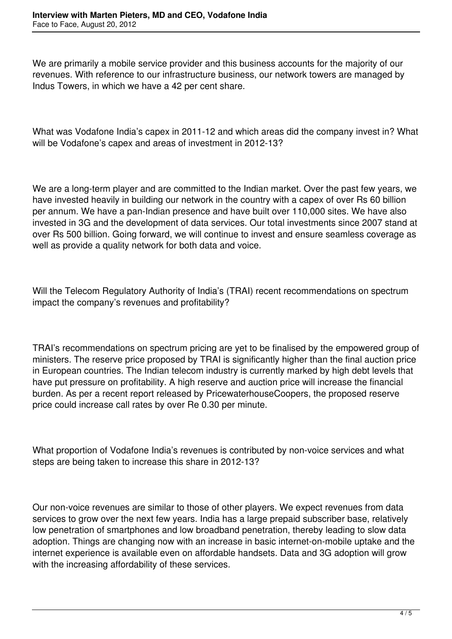We are primarily a mobile service provider and this business accounts for the majority of our revenues. With reference to our infrastructure business, our network towers are managed by Indus Towers, in which we have a 42 per cent share.

What was Vodafone India's capex in 2011-12 and which areas did the company invest in? What will be Vodafone's capex and areas of investment in 2012-13?

We are a long-term player and are committed to the Indian market. Over the past few years, we have invested heavily in building our network in the country with a capex of over Rs 60 billion per annum. We have a pan-Indian presence and have built over 110,000 sites. We have also invested in 3G and the development of data services. Our total investments since 2007 stand at over Rs 500 billion. Going forward, we will continue to invest and ensure seamless coverage as well as provide a quality network for both data and voice.

Will the Telecom Regulatory Authority of India's (TRAI) recent recommendations on spectrum impact the company's revenues and profitability?

TRAI's recommendations on spectrum pricing are yet to be finalised by the empowered group of ministers. The reserve price proposed by TRAI is significantly higher than the final auction price in European countries. The Indian telecom industry is currently marked by high debt levels that have put pressure on profitability. A high reserve and auction price will increase the financial burden. As per a recent report released by PricewaterhouseCoopers, the proposed reserve price could increase call rates by over Re 0.30 per minute.

What proportion of Vodafone India's revenues is contributed by non-voice services and what steps are being taken to increase this share in 2012-13?

Our non-voice revenues are similar to those of other players. We expect revenues from data services to grow over the next few years. India has a large prepaid subscriber base, relatively low penetration of smartphones and low broadband penetration, thereby leading to slow data adoption. Things are changing now with an increase in basic internet-on-mobile uptake and the internet experience is available even on affordable handsets. Data and 3G adoption will grow with the increasing affordability of these services.